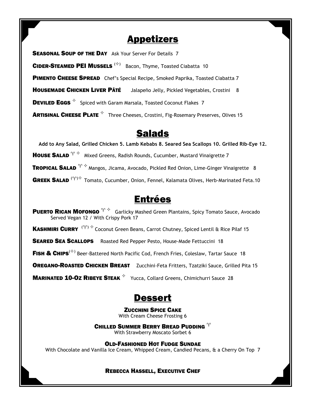#### **Appetizers**

**SEASONAL SOUP OF THE DAY** Ask Your Server For Details 7

CIDER-STEAMED PEI MUSSELS (<sup> $\Leftrightarrow$ )</sup> Bacon, Thyme, Toasted Ciabatta 10

PIMENTO CHEESE SPREAD Chef's Special Recipe, Smoked Paprika, Toasted Ciabatta 7

**HOUSEMADE CHICKEN LIVER PÂTÉ** Jalapeño Jelly, Pickled Vegetables, Crostini 8

**DEVILED EGGS**  $\&$  Spiced with Garam Marsala, Toasted Coconut Flakes 7

**ARTISINAL CHEESE PLATE**  $\overleftarrow{ }$  Three Cheeses, Crostini, Fig-Rosemary Preserves, Olives 15

### Salads

Add to Any Salad, Grilled Chicken 5. Lamb Kebabs 8. Seared Sea Scallops 10. Grilled Rib-Eye 12.

**HOUSE SALAD**  $\gamma \leftarrow M$  Mixed Greens, Radish Rounds, Cucumber, Mustard Vinaigrette 7

**TROPICAL SALAD**  $\gamma \n\rightsquigarrow$  Mangos, Jicama, Avocado, Pickled Red Onion, Lime-Ginger Vinaigrette 8

**GREEK SALAD**  $(\gamma)$ <sup> $\diamond$ </sup> Tomato, Cucumber, Onion, Fennel, Kalamata Olives, Herb-Marinated Feta.10

### Entrées

**PUERTO RICAN MOFONGO**  $\Upsilon \diamond \Phi$  Garlicky Mashed Green Plantains, Spicy Tomato Sauce, Avocado Served Vegan 12 / With Crispy Pork 17

**KASHMIRI CURRY**  $(\gamma) \leftarrow$  Coconut Green Beans, Carrot Chutney, Spiced Lentil & Rice Pilaf 15

**SEARED SEA SCALLOPS** Roasted Red Pepper Pesto, House-Made Fettuccini 18

FISH & CHIPS<sup>( $\diamond$ )</sup> Beer-Battered North Pacific Cod, French Fries, Coleslaw, Tartar Sauce 18

**OREGANO-ROASTED CHICKEN BREAST** Zucchini-Feta Fritters, Tzatziki Sauce, Grilled Pita 15

**MARINATED 10-OZ RIBEYE STEAK**  $\overleftrightarrow{Y}$  Yucca, Collard Greens, Chimichurri Sauce 28

## Dessert

ZUCCHINI SPICE CAKE With Cream Cheese Frosting 6

CHILLED SUMMER BERRY BREAD PUDDING  $\gamma$ 

With Strawberry Moscato Sorbet 6

OLD-FASHIONED HOT FUDGE SUNDAE

With Chocolate and Vanilla Ice Cream, Whipped Cream, Candied Pecans, & a Cherry On Top 7

#### REBECCA HASSELL, EXECUTIVE CHEF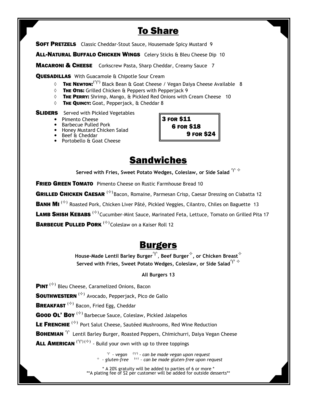# **To Share**

**SOFT PRETZELS** Classic Cheddar-Stout Sauce, Housemade Spicy Mustard 9

ALL-NATURAL BUFFALO CHICKEN WINGS Celery Sticks & Bleu Cheese Dip 10

**MACARONI & CHEESE** Corkscrew Pasta, Sharp Cheddar, Creamy Sauce 7

QUESADILLAS With Guacamole & Chipotle Sour Cream

- $\Diamond$  **The Newton:**  $^{(\gamma)}$  Black Bean & Goat Cheese / Vegan Daiya Cheese Available  $\,$  8
- ◊ THE OTIS: Grilled Chicken & Peppers with Pepperjack 9
- ◊ THE PERRY: Shrimp, Mango, & Pickled Red Onions with Cream Cheese 10
- ◊ THE QUINCY: Goat, Pepperjack, & Cheddar 8

**SLIDERS** Served with Pickled Vegetables

- Pimento Cheese
- **Barbecue Pulled Pork**
- Honey Mustard Chicken Salad
- **Beef & Cheddar**
- **Portobello & Goat Cheese**



## **Sandwiches**

Served with Fries, Sweet Potato Wedges, Coleslaw, or Side Salad  $\Upsilon \triangleq$ 

**FRIED GREEN TOMATO** Pimento Cheese on Rustic Farmhouse Bread 10

GRILLED CHICKEN CAESAR <sup>( $\diamond$ )</sup> Bacon, Romaine, Parmesan Crisp, Caesar Dressing on Ciabatta 12

**BANH MI**  $^{(\diamond)}$  Roasted Pork, Chicken Liver Pâté, Pickled Veggies, Cilantro, Chiles on Baguette 13

LAMB SHISH KEBABS<sup>( $\diamond$ )</sup> Cucumber-Mint Sauce, Marinated Feta, Lettuce, Tomato on Grilled Pita 17

BARBECUE PULLED PORK (<sup> $\diamond$ )</sup> Coleslaw on a Kaiser Roll 12

#### **Burgers**

House-Made Lentil Barley Burger ${}^{\gamma},$  Beef Burger ${}^{\diamond},$  or Chicken Breast ${}^{\diamond}$ Served with Fries, Sweet Potato Wedges, Coleslaw, or Side Salad $\Upsilon^{\vee}$ 

#### All Burgers 13

**PINT**  $^{(\diamond)}$  Bleu Cheese, Caramelized Onions, Bacon

**SOUTHWESTERN**  $(%)$  Avocado, Pepperjack, Pico de Gallo

**BREAKFAST**  $^{(\diamond)}$  Bacon, Fried Egg, Cheddar

**Good OL' Boy**  $(*)$  Barbecue Sauce, Coleslaw, Pickled Jalapeños

LE FRENCHIE<sup>( $\diamond$ )</sup> Port Salut Cheese, Sautéed Mushrooms, Red Wine Reduction

**BOHEMIAN**  $\gamma$  Lentil Barley Burger, Roasted Peppers, Chimichurri, Daiya Vegan Cheese

**ALL AMERICAN**  $(\gamma)(\diamond)$  - Build your own with up to three toppings

 $^\gamma$  - vegan  $\quad\ ^{(\gamma)}$  - can be made vegan upon request  $\rightarrow$  - gluten-free  $\rightarrow$   $\rightarrow$  - can be made gluten-free upon request

\* A 20% gratuity will be added to parties of 6 or more \* \*\*A plating fee of \$2 per customer will be added for outside desserts\*\*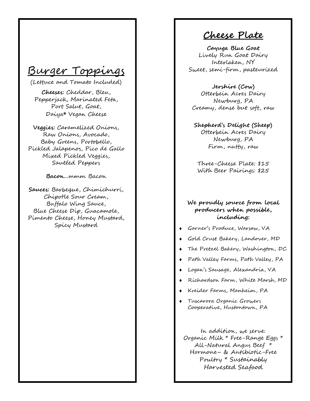# Burger Toppings

(Lettuce and Tomato Included)

Cheeses: Cheddar, Bleu, Pepperjack, Marinated Feta, Port Salut, Goat, Daiya® Vegan Cheese

Veggies: Caramelized Onions, Raw Onions, Avocado, Baby Greens, Poobello, Pickled Jalapenos, Pico de Gallo Mixed Pickled Veggies, Sautéed Peppers

Bacon...mmm Bacon

Sauces: Barbeque, Chimichurri, Chipotle Sour Cream, Buffalo Wing Sauce, Blue Cheese Dip, Guacamole, Pimento Cheese, Honey Mustard, Spicy Mustard

Cheese Plate

Cayuga Blue Goat Lively Run Goat Dairy Interlaken, NY Sweet, semi-firm, pasteurized

Jershire (Cow) Otterbein Acres Dairy Newburg, PA Creamy, dense but soft, raw

Shepherd's Delight (Sheep) Otterbein Acres Dairy Newburg, PA Firm, nutty, raw

Three-Cheese Plate: \$15 With Beer Pairings: \$25

#### We proudly source from local producers when possible, including:

- ♦ Garner's Produce, Warsaw, VA
- ♦ Gold Crust Bakery, Landover, MD
- ♦ The Pretzel Bakery, Washington, DC
- ♦ Path Valley Farms, Path Valley, PA
- ♦ Logan's Sausage, Alexandria, VA
- ♦ Richardson Farm, White Marsh, MD
- ♦ Kreider Farms, Manheim, PA
- ♦ Tuscarora Organic Growers Cooperative, Hustontown, PA

In addition, we serve: Organic Milk \* Free-Range Eggs \* All-Natural Angus Beef \* Hormone – & Antibiotic-Free Poultry \* Sustainably Harvested Seafood